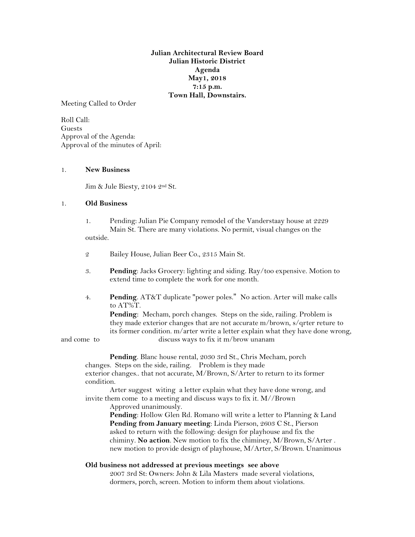**Julian Architectural Review Board Julian Historic District Agenda May1, 2018 7:15 p.m. Town Hall, Downstairs.**

Meeting Called to Order

Roll Call: Guests Approval of the Agenda: Approval of the minutes of April:

## 1. **New Business**

Jim & Jule Biesty, 2104 2nd St.

## 1. **Old Business**

- 1. Pending: Julian Pie Company remodel of the Vanderstaay house at 2229 Main St. There are many violations. No permit, visual changes on the outside.
- 2 Bailey House, Julian Beer Co., 2315 Main St.
- 3. **Pending**: Jacks Grocery: lighting and siding. Ray/too expensive. Motion to extend time to complete the work for one month.
- 4. **Pending**. AT&T duplicate "power poles." No action. Arter will make calls to AT%T.

**Pending**: Mecham, porch changes. Steps on the side, railing. Problem is they made exterior changes that are not accurate m/brown, s/qrter reture to its former condition. m/arter write a letter explain what they have done wrong, and come to discuss ways to fix it m/brow unanam

**Pending**. Blanc house rental, 2030 3rd St., Chris Mecham, porch changes. Steps on the side, railing. Problem is they made

exterior changes.. that not accurate, M/Brown, S/Arter to return to its former condition.

Arter suggest witing a letter explain what they have done wrong, and invite them come to a meeting and discuss ways to fix it. M//Brown

Approved unanimously.

**Pending**: Hollow Glen Rd. Romano will write a letter to Planning & Land **Pending from January meeting**: Linda Pierson, 2603 C St., Pierson asked to return with the following: design for playhouse and fix the chiminy. **No action**. New motion to fix the chiminey, M/Brown, S/Arter . new motion to provide design of playhouse, M/Arter, S/Brown. Unanimous

## **Old business not addressed at previous meetings see above**

2007 3rd St: Owners: John & Lila Masters made several violations, dormers, porch, screen. Motion to inform them about violations.